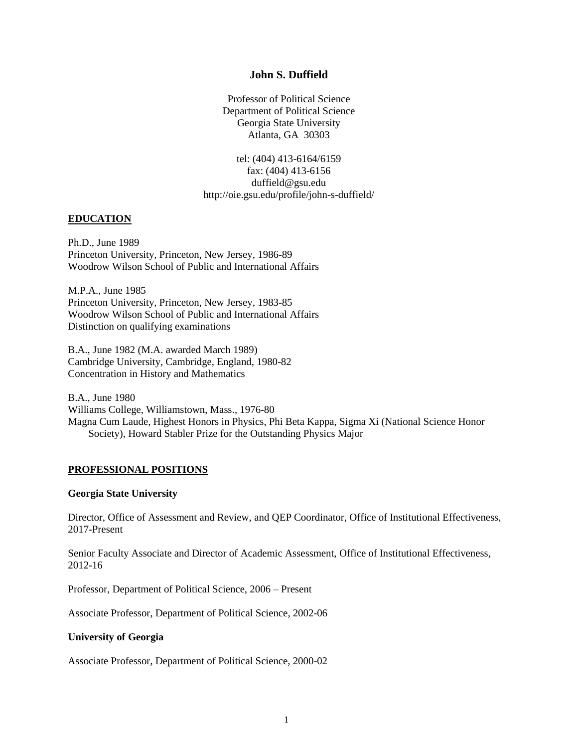## **John S. Duffield**

Professor of Political Science Department of Political Science Georgia State University Atlanta, GA 30303

tel: (404) 413-6164/6159 fax: (404) 413-6156 duffield@gsu.edu http://oie.gsu.edu/profile/john-s-duffield/

### **EDUCATION**

Ph.D., June 1989 Princeton University, Princeton, New Jersey, 1986-89 Woodrow Wilson School of Public and International Affairs

M.P.A., June 1985 Princeton University, Princeton, New Jersey, 1983-85 Woodrow Wilson School of Public and International Affairs Distinction on qualifying examinations

B.A., June 1982 (M.A. awarded March 1989) Cambridge University, Cambridge, England, 1980-82 Concentration in History and Mathematics

B.A., June 1980 Williams College, Williamstown, Mass., 1976-80 Magna Cum Laude, Highest Honors in Physics, Phi Beta Kappa, Sigma Xi (National Science Honor Society), Howard Stabler Prize for the Outstanding Physics Major

### **PROFESSIONAL POSITIONS**

#### **Georgia State University**

Director, Office of Assessment and Review, and QEP Coordinator, Office of Institutional Effectiveness, 2017-Present

Senior Faculty Associate and Director of Academic Assessment, Office of Institutional Effectiveness, 2012-16

Professor, Department of Political Science, 2006 – Present

Associate Professor, Department of Political Science, 2002-06

#### **University of Georgia**

Associate Professor, Department of Political Science, 2000-02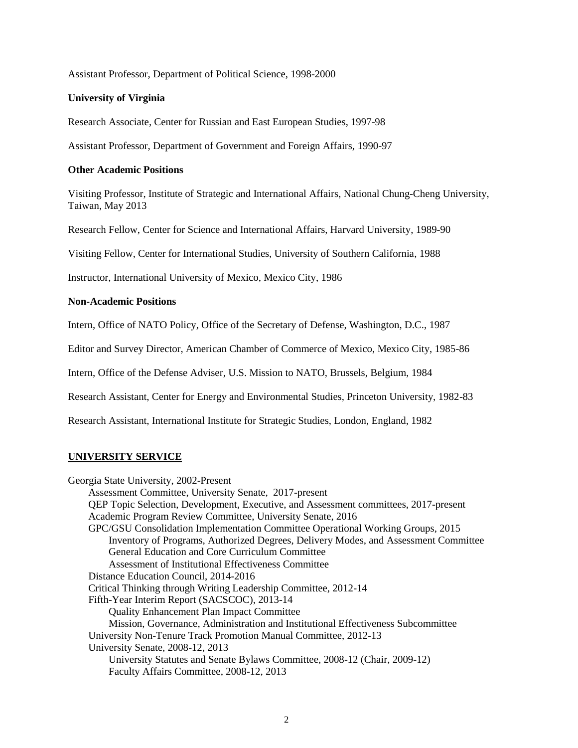Assistant Professor, Department of Political Science, 1998-2000

### **University of Virginia**

Research Associate, Center for Russian and East European Studies, 1997-98

Assistant Professor, Department of Government and Foreign Affairs, 1990-97

### **Other Academic Positions**

Visiting Professor, Institute of Strategic and International Affairs, National Chung-Cheng University, Taiwan, May 2013

Research Fellow, Center for Science and International Affairs, Harvard University, 1989-90

Visiting Fellow, Center for International Studies, University of Southern California, 1988

Instructor, International University of Mexico, Mexico City, 1986

## **Non-Academic Positions**

Intern, Office of NATO Policy, Office of the Secretary of Defense, Washington, D.C., 1987

Editor and Survey Director, American Chamber of Commerce of Mexico, Mexico City, 1985-86

Intern, Office of the Defense Adviser, U.S. Mission to NATO, Brussels, Belgium, 1984

Research Assistant, Center for Energy and Environmental Studies, Princeton University, 1982-83

Research Assistant, International Institute for Strategic Studies, London, England, 1982

## **UNIVERSITY SERVICE**

Georgia State University, 2002-Present Assessment Committee, University Senate, 2017-present QEP Topic Selection, Development, Executive, and Assessment committees, 2017-present Academic Program Review Committee, University Senate, 2016 GPC/GSU Consolidation Implementation Committee Operational Working Groups, 2015 Inventory of Programs, Authorized Degrees, Delivery Modes, and Assessment Committee General Education and Core Curriculum Committee Assessment of Institutional Effectiveness Committee Distance Education Council, 2014-2016 Critical Thinking through Writing Leadership Committee, 2012-14 Fifth-Year Interim Report (SACSCOC), 2013-14 Quality Enhancement Plan Impact Committee Mission, Governance, Administration and Institutional Effectiveness Subcommittee University Non-Tenure Track Promotion Manual Committee, 2012-13 University Senate, 2008-12, 2013 University Statutes and Senate Bylaws Committee, 2008-12 (Chair, 2009-12) Faculty Affairs Committee, 2008-12, 2013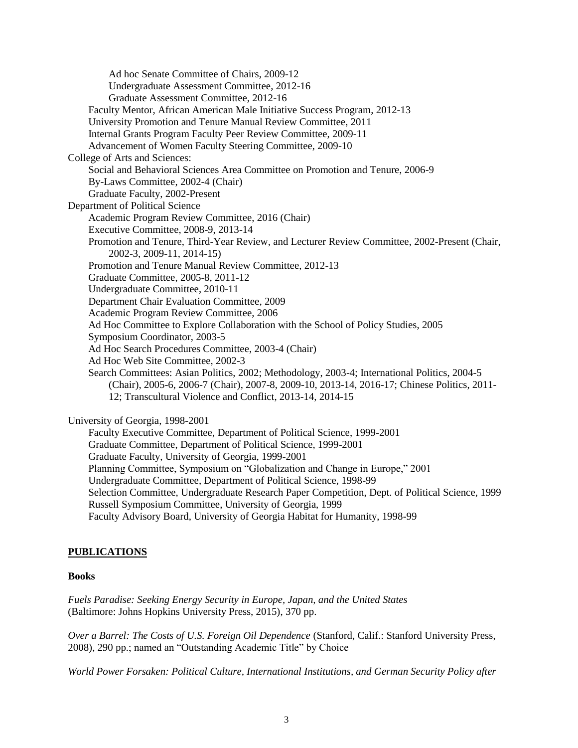Ad hoc Senate Committee of Chairs, 2009-12 Undergraduate Assessment Committee, 2012-16 Graduate Assessment Committee, 2012-16 Faculty Mentor, African American Male Initiative Success Program, 2012-13 University Promotion and Tenure Manual Review Committee, 2011 Internal Grants Program Faculty Peer Review Committee, 2009-11 Advancement of Women Faculty Steering Committee, 2009-10 College of Arts and Sciences: Social and Behavioral Sciences Area Committee on Promotion and Tenure, 2006-9 By-Laws Committee, 2002-4 (Chair) Graduate Faculty, 2002-Present Department of Political Science Academic Program Review Committee, 2016 (Chair) Executive Committee, 2008-9, 2013-14 Promotion and Tenure, Third-Year Review, and Lecturer Review Committee, 2002-Present (Chair, 2002-3, 2009-11, 2014-15) Promotion and Tenure Manual Review Committee, 2012-13 Graduate Committee, 2005-8, 2011-12 Undergraduate Committee, 2010-11 Department Chair Evaluation Committee, 2009 Academic Program Review Committee, 2006 Ad Hoc Committee to Explore Collaboration with the School of Policy Studies, 2005 Symposium Coordinator, 2003-5 Ad Hoc Search Procedures Committee, 2003-4 (Chair) Ad Hoc Web Site Committee, 2002-3 Search Committees: Asian Politics, 2002; Methodology, 2003-4; International Politics, 2004-5 (Chair), 2005-6, 2006-7 (Chair), 2007-8, 2009-10, 2013-14, 2016-17; Chinese Politics, 2011- 12; Transcultural Violence and Conflict, 2013-14, 2014-15 University of Georgia, 1998-2001 Faculty Executive Committee, Department of Political Science, 1999-2001 Graduate Committee, Department of Political Science, 1999-2001

Graduate Faculty, University of Georgia, 1999-2001

Planning Committee, Symposium on "Globalization and Change in Europe," 2001

Undergraduate Committee, Department of Political Science, 1998-99

Selection Committee, Undergraduate Research Paper Competition, Dept. of Political Science, 1999 Russell Symposium Committee, University of Georgia, 1999

Faculty Advisory Board, University of Georgia Habitat for Humanity, 1998-99

# **PUBLICATIONS**

## **Books**

*Fuels Paradise: Seeking Energy Security in Europe, Japan, and the United States* (Baltimore: Johns Hopkins University Press, 2015), 370 pp.

*Over a Barrel: The Costs of U.S. Foreign Oil Dependence* (Stanford, Calif.: Stanford University Press, 2008), 290 pp.; named an "Outstanding Academic Title" by Choice

*World Power Forsaken: Political Culture, International Institutions, and German Security Policy after*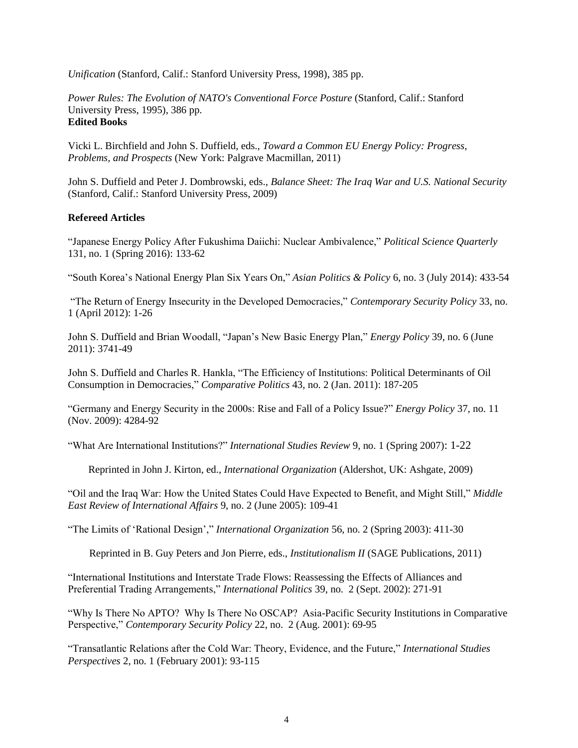*Unification* (Stanford, Calif.: Stanford University Press, 1998), 385 pp.

*Power Rules: The Evolution of NATO's Conventional Force Posture* (Stanford, Calif.: Stanford University Press, 1995), 386 pp. **Edited Books**

Vicki L. Birchfield and John S. Duffield, eds., *Toward a Common EU Energy Policy: Progress, Problems, and Prospects* (New York: Palgrave Macmillan, 2011)

John S. Duffield and Peter J. Dombrowski, eds., *Balance Sheet: The Iraq War and U.S. National Security* (Stanford, Calif.: Stanford University Press, 2009)

## **Refereed Articles**

"Japanese Energy Policy After Fukushima Daiichi: Nuclear Ambivalence," *Political Science Quarterly* 131, no. 1 (Spring 2016): 133-62

"South Korea's National Energy Plan Six Years On," *Asian Politics & Policy* 6, no. 3 (July 2014): 433-54

"The Return of Energy Insecurity in the Developed Democracies," *Contemporary Security Policy* 33, no. 1 (April 2012): 1-26

John S. Duffield and Brian Woodall, "Japan's New Basic Energy Plan," *Energy Policy* 39, no. 6 (June 2011): 3741-49

John S. Duffield and Charles R. Hankla, "The Efficiency of Institutions: Political Determinants of Oil Consumption in Democracies," *Comparative Politics* 43, no. 2 (Jan. 2011): 187-205

"Germany and Energy Security in the 2000s: Rise and Fall of a Policy Issue?" *Energy Policy* 37, no. 11 (Nov. 2009): 4284-92

"What Are International Institutions?" *International Studies Review* 9, no. 1 (Spring 2007): 1-22

Reprinted in John J. Kirton, ed., *International Organization* (Aldershot, UK: Ashgate, 2009)

"Oil and the Iraq War: How the United States Could Have Expected to Benefit, and Might Still," *Middle East Review of International Affairs* 9, no. 2 (June 2005): 109-41

"The Limits of 'Rational Design'," *International Organization* 56, no. 2 (Spring 2003): 411-30

Reprinted in B. Guy Peters and Jon Pierre, eds., *Institutionalism II* (SAGE Publications, 2011)

"International Institutions and Interstate Trade Flows: Reassessing the Effects of Alliances and Preferential Trading Arrangements," *International Politics* 39, no. 2 (Sept. 2002): 271-91

"Why Is There No APTO? Why Is There No OSCAP? Asia-Pacific Security Institutions in Comparative Perspective," *Contemporary Security Policy* 22, no. 2 (Aug. 2001): 69-95

"Transatlantic Relations after the Cold War: Theory, Evidence, and the Future," *International Studies Perspectives* 2, no. 1 (February 2001): 93-115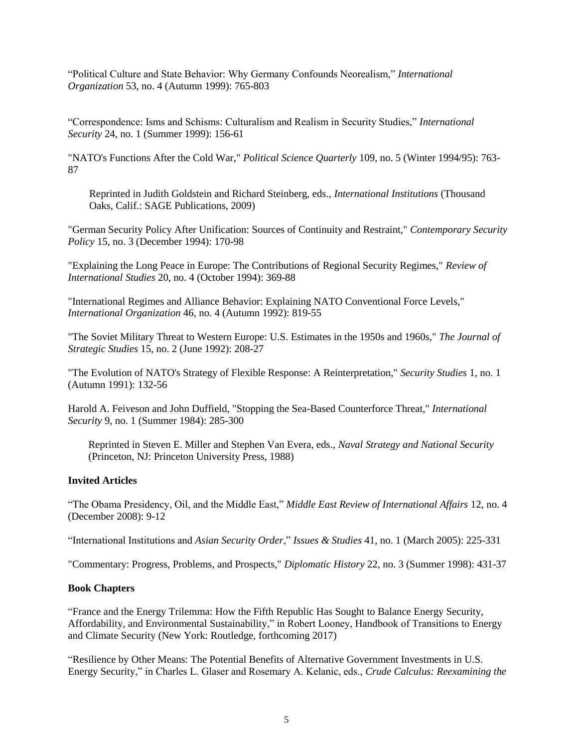"Political Culture and State Behavior: Why Germany Confounds Neorealism," *International Organization* 53, no. 4 (Autumn 1999): 765-803

"Correspondence: Isms and Schisms: Culturalism and Realism in Security Studies," *International Security* 24, no. 1 (Summer 1999): 156-61

"NATO's Functions After the Cold War," *Political Science Quarterly* 109, no. 5 (Winter 1994/95): 763- 87

Reprinted in Judith Goldstein and Richard Steinberg, eds., *International Institutions* (Thousand Oaks, Calif.: SAGE Publications, 2009)

"German Security Policy After Unification: Sources of Continuity and Restraint," *Contemporary Security Policy* 15, no. 3 (December 1994): 170-98

"Explaining the Long Peace in Europe: The Contributions of Regional Security Regimes," *Review of International Studies* 20, no. 4 (October 1994): 369-88

"International Regimes and Alliance Behavior: Explaining NATO Conventional Force Levels," *International Organization* 46, no. 4 (Autumn 1992): 819-55

"The Soviet Military Threat to Western Europe: U.S. Estimates in the 1950s and 1960s," *The Journal of Strategic Studies* 15, no. 2 (June 1992): 208-27

"The Evolution of NATO's Strategy of Flexible Response: A Reinterpretation," *Security Studies* 1, no. 1 (Autumn 1991): 132-56

Harold A. Feiveson and John Duffield, "Stopping the Sea-Based Counterforce Threat," *International Security* 9, no. 1 (Summer 1984): 285-300

Reprinted in Steven E. Miller and Stephen Van Evera, eds., *Naval Strategy and National Security* (Princeton, NJ: Princeton University Press, 1988)

### **Invited Articles**

"The Obama Presidency, Oil, and the Middle East," *Middle East Review of International Affairs* 12, no. 4 (December 2008): 9-12

"International Institutions and *Asian Security Order*," *Issues & Studies* 41, no. 1 (March 2005): 225-331

"Commentary: Progress, Problems, and Prospects," *Diplomatic History* 22, no. 3 (Summer 1998): 431-37

#### **Book Chapters**

"France and the Energy Trilemma: How the Fifth Republic Has Sought to Balance Energy Security, Affordability, and Environmental Sustainability," in Robert Looney, Handbook of Transitions to Energy and Climate Security (New York: Routledge, forthcoming 2017)

"Resilience by Other Means: The Potential Benefits of Alternative Government Investments in U.S. Energy Security," in Charles L. Glaser and Rosemary A. Kelanic, eds., *Crude Calculus: Reexamining the*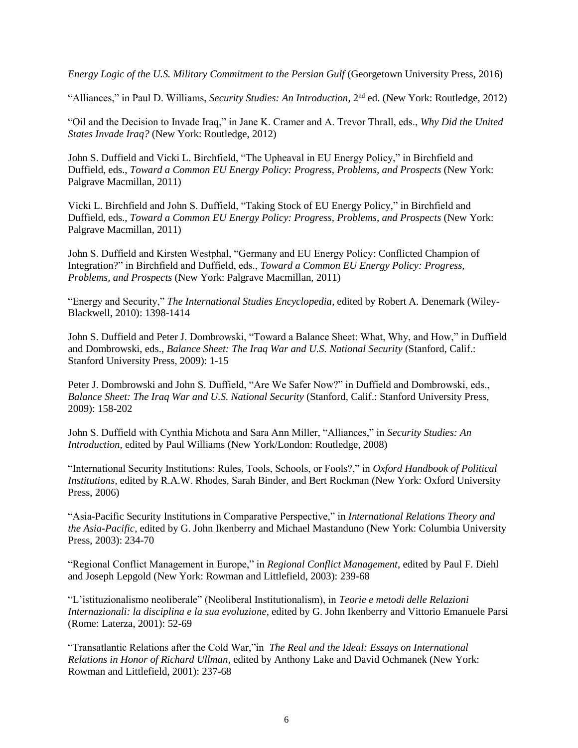*Energy Logic of the U.S. Military Commitment to the Persian Gulf* (Georgetown University Press, 2016)

"Alliances," in Paul D. Williams, *Security Studies: An Introduction*, 2nd ed. (New York: Routledge, 2012)

"Oil and the Decision to Invade Iraq," in Jane K. Cramer and A. Trevor Thrall, eds., *Why Did the United States Invade Iraq?* (New York: Routledge, 2012)

John S. Duffield and Vicki L. Birchfield, "The Upheaval in EU Energy Policy," in Birchfield and Duffield, eds., *Toward a Common EU Energy Policy: Progress, Problems, and Prospects* (New York: Palgrave Macmillan, 2011)

Vicki L. Birchfield and John S. Duffield, "Taking Stock of EU Energy Policy," in Birchfield and Duffield, eds., *Toward a Common EU Energy Policy: Progress, Problems, and Prospects* (New York: Palgrave Macmillan, 2011)

John S. Duffield and Kirsten Westphal, "Germany and EU Energy Policy: Conflicted Champion of Integration?" in Birchfield and Duffield, eds., *Toward a Common EU Energy Policy: Progress, Problems, and Prospects* (New York: Palgrave Macmillan, 2011)

"Energy and Security," *The International Studies Encyclopedia*, edited by Robert A. Denemark (Wiley-Blackwell, 2010): 1398-1414

John S. Duffield and Peter J. Dombrowski, "Toward a Balance Sheet: What, Why, and How," in Duffield and Dombrowski, eds., *Balance Sheet: The Iraq War and U.S. National Security* (Stanford, Calif.: Stanford University Press, 2009): 1-15

Peter J. Dombrowski and John S. Duffield, "Are We Safer Now?" in Duffield and Dombrowski, eds., *Balance Sheet: The Iraq War and U.S. National Security* (Stanford, Calif.: Stanford University Press, 2009): 158-202

John S. Duffield with Cynthia Michota and Sara Ann Miller, "Alliances," in *Security Studies: An Introduction*, edited by Paul Williams (New York/London: Routledge, 2008)

"International Security Institutions: Rules, Tools, Schools, or Fools?," in *Oxford Handbook of Political Institutions*, edited by R.A.W. Rhodes, Sarah Binder, and Bert Rockman (New York: Oxford University Press, 2006)

"Asia-Pacific Security Institutions in Comparative Perspective," in *International Relations Theory and the Asia-Pacific*, edited by G. John Ikenberry and Michael Mastanduno (New York: Columbia University Press, 2003): 234-70

"Regional Conflict Management in Europe," in *Regional Conflict Management*, edited by Paul F. Diehl and Joseph Lepgold (New York: Rowman and Littlefield, 2003): 239-68

"L'istituzionalismo neoliberale" (Neoliberal Institutionalism), in *Teorie e metodi delle Relazioni Internazionali: la disciplina e la sua evoluzione*, edited by G. John Ikenberry and Vittorio Emanuele Parsi (Rome: Laterza, 2001): 52-69

"Transatlantic Relations after the Cold War,"in *The Real and the Ideal: Essays on International Relations in Honor of Richard Ullman*, edited by Anthony Lake and David Ochmanek (New York: Rowman and Littlefield, 2001): 237-68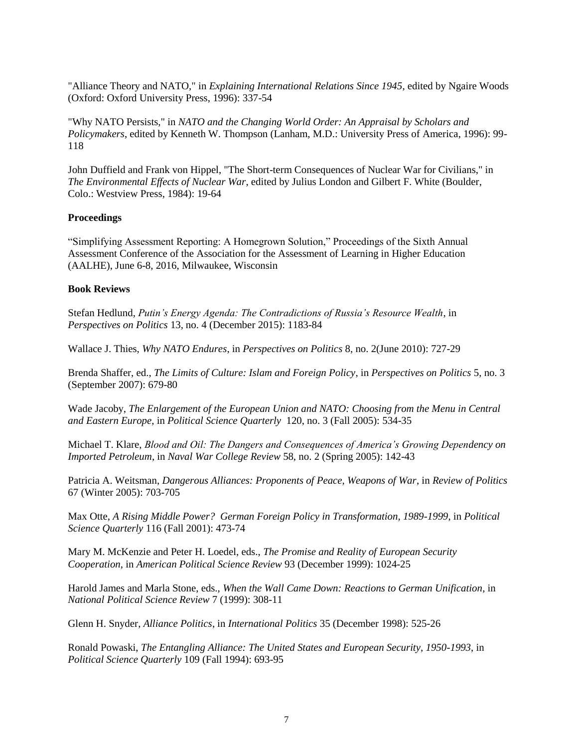"Alliance Theory and NATO," in *Explaining International Relations Since 1945*, edited by Ngaire Woods (Oxford: Oxford University Press, 1996): 337-54

"Why NATO Persists," in *NATO and the Changing World Order: An Appraisal by Scholars and Policymakers*, edited by Kenneth W. Thompson (Lanham, M.D.: University Press of America, 1996): 99- 118

John Duffield and Frank von Hippel, "The Short-term Consequences of Nuclear War for Civilians," in *The Environmental Effects of Nuclear War*, edited by Julius London and Gilbert F. White (Boulder, Colo.: Westview Press, 1984): 19-64

### **Proceedings**

"Simplifying Assessment Reporting: A Homegrown Solution," Proceedings of the Sixth Annual Assessment Conference of the Association for the Assessment of Learning in Higher Education (AALHE), June 6-8, 2016, Milwaukee, Wisconsin

### **Book Reviews**

Stefan Hedlund, *Putin's Energy Agenda: The Contradictions of Russia's Resource Wealth*, in *Perspectives on Politics* 13, no. 4 (December 2015): 1183-84

Wallace J. Thies, *Why NATO Endures*, in *Perspectives on Politics* 8, no. 2(June 2010): 727-29

Brenda Shaffer, ed., *The Limits of Culture: Islam and Foreign Policy*, in *Perspectives on Politics* 5, no. 3 (September 2007): 679-80

Wade Jacoby, *The Enlargement of the European Union and NATO: Choosing from the Menu in Central and Eastern Europe*, in *Political Science Quarterly* 120, no. 3 (Fall 2005): 534-35

Michael T. Klare, *Blood and Oil: The Dangers and Consequences of America's Growing Dependency on Imported Petroleum*, in *Naval War College Review* 58, no. 2 (Spring 2005): 142-43

Patricia A. Weitsman, *Dangerous Alliances: Proponents of Peace, Weapons of War*, in *Review of Politics* 67 (Winter 2005): 703-705

Max Otte, *A Rising Middle Power? German Foreign Policy in Transformation, 1989-1999*, in *Political Science Quarterly* 116 (Fall 2001): 473-74

Mary M. McKenzie and Peter H. Loedel, eds., *The Promise and Reality of European Security Cooperation*, in *American Political Science Review* 93 (December 1999): 1024-25

Harold James and Marla Stone, eds., *When the Wall Came Down: Reactions to German Unification*, in *National Political Science Review* 7 (1999): 308-11

Glenn H. Snyder, *Alliance Politics*, in *International Politics* 35 (December 1998): 525-26

Ronald Powaski, *The Entangling Alliance: The United States and European Security, 1950-1993*, in *Political Science Quarterly* 109 (Fall 1994): 693-95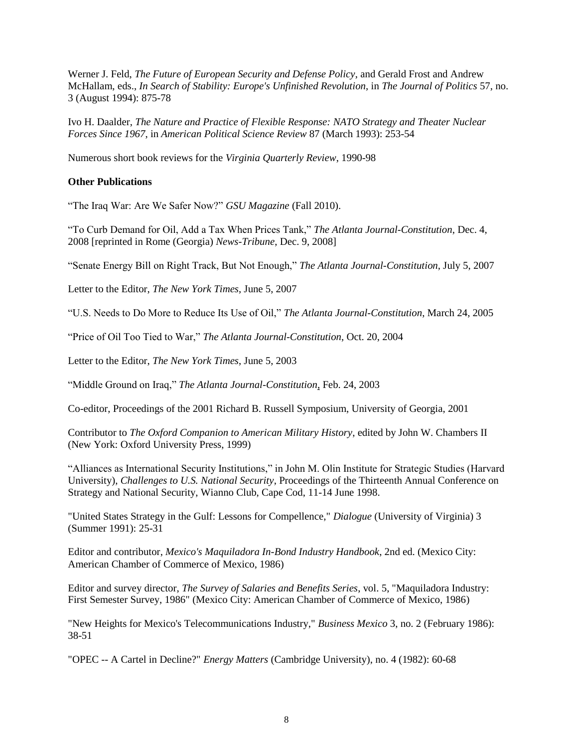Werner J. Feld, *The Future of European Security and Defense Policy*, and Gerald Frost and Andrew McHallam, eds., *In Search of Stability: Europe's Unfinished Revolution*, in *The Journal of Politics* 57, no. 3 (August 1994): 875-78

Ivo H. Daalder, *The Nature and Practice of Flexible Response: NATO Strategy and Theater Nuclear Forces Since 1967*, in *American Political Science Review* 87 (March 1993): 253-54

Numerous short book reviews for the *Virginia Quarterly Review*, 1990-98

## **Other Publications**

"The Iraq War: Are We Safer Now?" *GSU Magazine* (Fall 2010).

"To Curb Demand for Oil, Add a Tax When Prices Tank," *The Atlanta Journal-Constitution*, Dec. 4, 2008 [reprinted in Rome (Georgia) *News-Tribune*, Dec. 9, 2008]

"Senate Energy Bill on Right Track, But Not Enough," *The Atlanta Journal-Constitution*, July 5, 2007

Letter to the Editor, *The New York Times*, June 5, 2007

"U.S. Needs to Do More to Reduce Its Use of Oil," *The Atlanta Journal-Constitution*, March 24, 2005

"Price of Oil Too Tied to War," *The Atlanta Journal-Constitution*, Oct. 20, 2004

Letter to the Editor, *The New York Times*, June 5, 2003

"Middle Ground on Iraq," *The Atlanta Journal-Constitution*, Feb. 24, 2003

Co-editor, Proceedings of the 2001 Richard B. Russell Symposium, University of Georgia, 2001

Contributor to *The Oxford Companion to American Military History*, edited by John W. Chambers II (New York: Oxford University Press, 1999)

"Alliances as International Security Institutions," in John M. Olin Institute for Strategic Studies (Harvard University), *Challenges to U.S. National Security*, Proceedings of the Thirteenth Annual Conference on Strategy and National Security, Wianno Club, Cape Cod, 11-14 June 1998.

"United States Strategy in the Gulf: Lessons for Compellence," *Dialogue* (University of Virginia) 3 (Summer 1991): 25-31

Editor and contributor, *Mexico's Maquiladora In-Bond Industry Handbook*, 2nd ed. (Mexico City: American Chamber of Commerce of Mexico, 1986)

Editor and survey director, *The Survey of Salaries and Benefits Series*, vol. 5, "Maquiladora Industry: First Semester Survey, 1986" (Mexico City: American Chamber of Commerce of Mexico, 1986)

"New Heights for Mexico's Telecommunications Industry," *Business Mexico* 3, no. 2 (February 1986): 38-51

"OPEC -- A Cartel in Decline?" *Energy Matters* (Cambridge University), no. 4 (1982): 60-68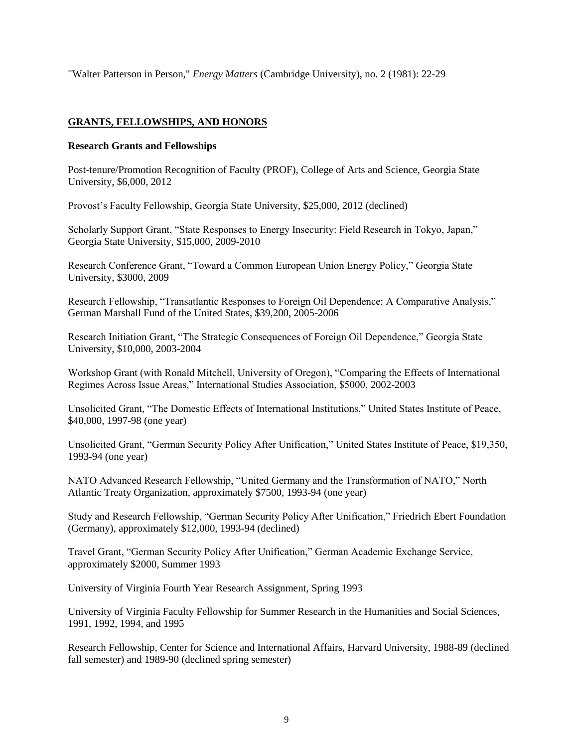"Walter Patterson in Person," *Energy Matters* (Cambridge University), no. 2 (1981): 22-29

# **GRANTS, FELLOWSHIPS, AND HONORS**

## **Research Grants and Fellowships**

Post-tenure/Promotion Recognition of Faculty (PROF), College of Arts and Science, Georgia State University, \$6,000, 2012

Provost's Faculty Fellowship, Georgia State University, \$25,000, 2012 (declined)

Scholarly Support Grant, "State Responses to Energy Insecurity: Field Research in Tokyo, Japan," Georgia State University, \$15,000, 2009-2010

Research Conference Grant, "Toward a Common European Union Energy Policy," Georgia State University, \$3000, 2009

Research Fellowship, "Transatlantic Responses to Foreign Oil Dependence: A Comparative Analysis," German Marshall Fund of the United States, \$39,200, 2005-2006

Research Initiation Grant, "The Strategic Consequences of Foreign Oil Dependence," Georgia State University, \$10,000, 2003-2004

Workshop Grant (with Ronald Mitchell, University of Oregon), "Comparing the Effects of International Regimes Across Issue Areas," International Studies Association, \$5000, 2002-2003

Unsolicited Grant, "The Domestic Effects of International Institutions," United States Institute of Peace, \$40,000, 1997-98 (one year)

Unsolicited Grant, "German Security Policy After Unification," United States Institute of Peace, \$19,350, 1993-94 (one year)

NATO Advanced Research Fellowship, "United Germany and the Transformation of NATO," North Atlantic Treaty Organization, approximately \$7500, 1993-94 (one year)

Study and Research Fellowship, "German Security Policy After Unification," Friedrich Ebert Foundation (Germany), approximately \$12,000, 1993-94 (declined)

Travel Grant, "German Security Policy After Unification," German Academic Exchange Service, approximately \$2000, Summer 1993

University of Virginia Fourth Year Research Assignment, Spring 1993

University of Virginia Faculty Fellowship for Summer Research in the Humanities and Social Sciences, 1991, 1992, 1994, and 1995

Research Fellowship, Center for Science and International Affairs, Harvard University, 1988-89 (declined fall semester) and 1989-90 (declined spring semester)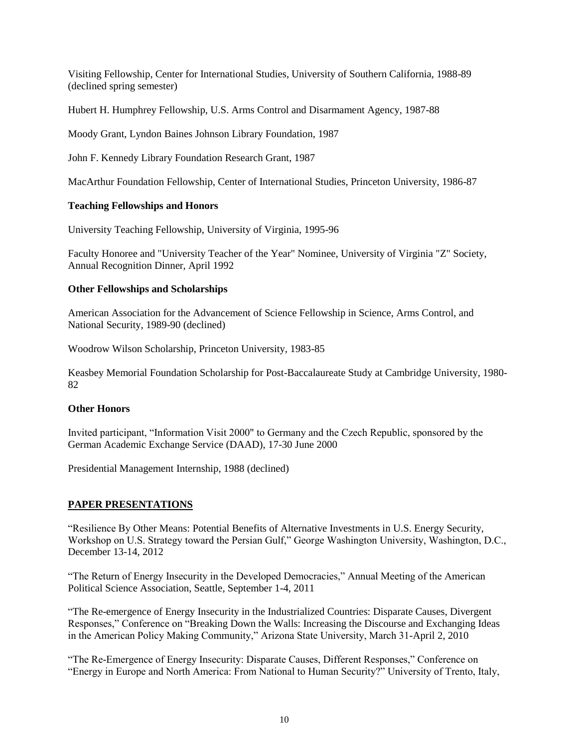Visiting Fellowship, Center for International Studies, University of Southern California, 1988-89 (declined spring semester)

Hubert H. Humphrey Fellowship, U.S. Arms Control and Disarmament Agency, 1987-88

Moody Grant, Lyndon Baines Johnson Library Foundation, 1987

John F. Kennedy Library Foundation Research Grant, 1987

MacArthur Foundation Fellowship, Center of International Studies, Princeton University, 1986-87

### **Teaching Fellowships and Honors**

University Teaching Fellowship, University of Virginia, 1995-96

Faculty Honoree and "University Teacher of the Year" Nominee, University of Virginia "Z" Society, Annual Recognition Dinner, April 1992

### **Other Fellowships and Scholarships**

American Association for the Advancement of Science Fellowship in Science, Arms Control, and National Security, 1989-90 (declined)

Woodrow Wilson Scholarship, Princeton University, 1983-85

Keasbey Memorial Foundation Scholarship for Post-Baccalaureate Study at Cambridge University, 1980- 82

### **Other Honors**

Invited participant, "Information Visit 2000" to Germany and the Czech Republic, sponsored by the German Academic Exchange Service (DAAD), 17-30 June 2000

Presidential Management Internship, 1988 (declined)

## **PAPER PRESENTATIONS**

"Resilience By Other Means: Potential Benefits of Alternative Investments in U.S. Energy Security, Workshop on U.S. Strategy toward the Persian Gulf," George Washington University, Washington, D.C., December 13-14, 2012

"The Return of Energy Insecurity in the Developed Democracies," Annual Meeting of the American Political Science Association, Seattle, September 1-4, 2011

"The Re-emergence of Energy Insecurity in the Industrialized Countries: Disparate Causes, Divergent Responses," Conference on "Breaking Down the Walls: Increasing the Discourse and Exchanging Ideas in the American Policy Making Community," Arizona State University, March 31-April 2, 2010

"The Re-Emergence of Energy Insecurity: Disparate Causes, Different Responses," Conference on "Energy in Europe and North America: From National to Human Security?" University of Trento, Italy,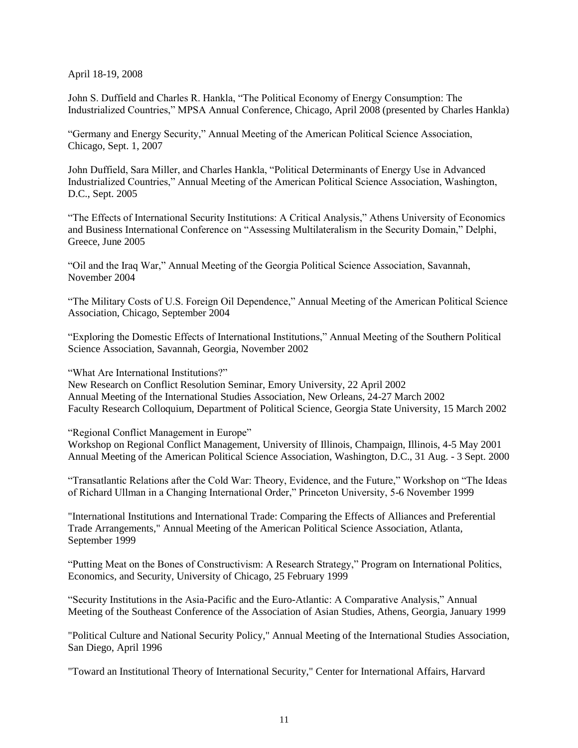April 18-19, 2008

John S. Duffield and Charles R. Hankla, "The Political Economy of Energy Consumption: The Industrialized Countries," MPSA Annual Conference, Chicago, April 2008 (presented by Charles Hankla)

"Germany and Energy Security," Annual Meeting of the American Political Science Association, Chicago, Sept. 1, 2007

John Duffield, Sara Miller, and Charles Hankla, "Political Determinants of Energy Use in Advanced Industrialized Countries," Annual Meeting of the American Political Science Association, Washington, D.C., Sept. 2005

"The Effects of International Security Institutions: A Critical Analysis," Athens University of Economics and Business International Conference on "Assessing Multilateralism in the Security Domain," Delphi, Greece, June 2005

"Oil and the Iraq War," Annual Meeting of the Georgia Political Science Association, Savannah, November 2004

"The Military Costs of U.S. Foreign Oil Dependence," Annual Meeting of the American Political Science Association, Chicago, September 2004

"Exploring the Domestic Effects of International Institutions," Annual Meeting of the Southern Political Science Association, Savannah, Georgia, November 2002

"What Are International Institutions?"

New Research on Conflict Resolution Seminar, Emory University, 22 April 2002 Annual Meeting of the International Studies Association, New Orleans, 24-27 March 2002 Faculty Research Colloquium, Department of Political Science, Georgia State University, 15 March 2002

"Regional Conflict Management in Europe"

Workshop on Regional Conflict Management, University of Illinois, Champaign, Illinois, 4-5 May 2001 Annual Meeting of the American Political Science Association, Washington, D.C., 31 Aug. - 3 Sept. 2000

"Transatlantic Relations after the Cold War: Theory, Evidence, and the Future," Workshop on "The Ideas of Richard Ullman in a Changing International Order," Princeton University, 5-6 November 1999

"International Institutions and International Trade: Comparing the Effects of Alliances and Preferential Trade Arrangements," Annual Meeting of the American Political Science Association, Atlanta, September 1999

"Putting Meat on the Bones of Constructivism: A Research Strategy," Program on International Politics, Economics, and Security, University of Chicago, 25 February 1999

"Security Institutions in the Asia-Pacific and the Euro-Atlantic: A Comparative Analysis," Annual Meeting of the Southeast Conference of the Association of Asian Studies, Athens, Georgia, January 1999

"Political Culture and National Security Policy," Annual Meeting of the International Studies Association, San Diego, April 1996

"Toward an Institutional Theory of International Security," Center for International Affairs, Harvard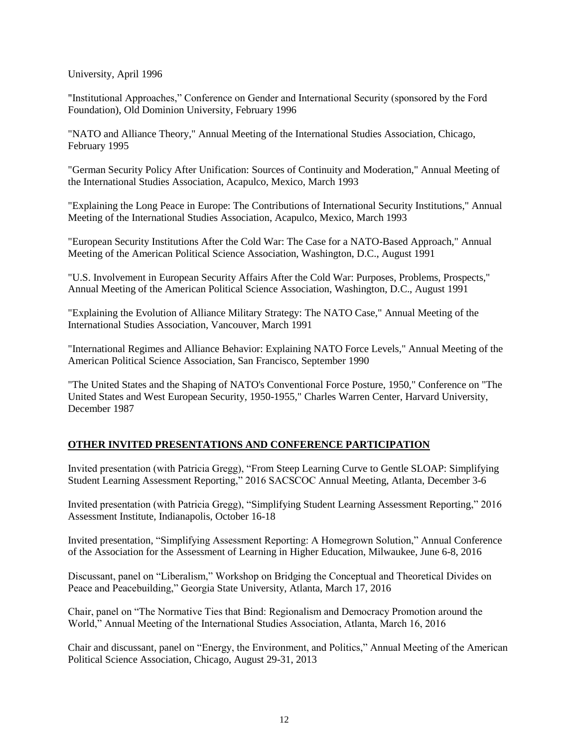University, April 1996

"Institutional Approaches," Conference on Gender and International Security (sponsored by the Ford Foundation), Old Dominion University, February 1996

"NATO and Alliance Theory," Annual Meeting of the International Studies Association, Chicago, February 1995

"German Security Policy After Unification: Sources of Continuity and Moderation," Annual Meeting of the International Studies Association, Acapulco, Mexico, March 1993

"Explaining the Long Peace in Europe: The Contributions of International Security Institutions," Annual Meeting of the International Studies Association, Acapulco, Mexico, March 1993

"European Security Institutions After the Cold War: The Case for a NATO-Based Approach," Annual Meeting of the American Political Science Association, Washington, D.C., August 1991

"U.S. Involvement in European Security Affairs After the Cold War: Purposes, Problems, Prospects," Annual Meeting of the American Political Science Association, Washington, D.C., August 1991

"Explaining the Evolution of Alliance Military Strategy: The NATO Case," Annual Meeting of the International Studies Association, Vancouver, March 1991

"International Regimes and Alliance Behavior: Explaining NATO Force Levels," Annual Meeting of the American Political Science Association, San Francisco, September 1990

"The United States and the Shaping of NATO's Conventional Force Posture, 1950," Conference on "The United States and West European Security, 1950-1955," Charles Warren Center, Harvard University, December 1987

## **OTHER INVITED PRESENTATIONS AND CONFERENCE PARTICIPATION**

Invited presentation (with Patricia Gregg), "From Steep Learning Curve to Gentle SLOAP: Simplifying Student Learning Assessment Reporting," 2016 SACSCOC Annual Meeting, Atlanta, December 3-6

Invited presentation (with Patricia Gregg), "Simplifying Student Learning Assessment Reporting," 2016 Assessment Institute, Indianapolis, October 16-18

Invited presentation, "Simplifying Assessment Reporting: A Homegrown Solution," Annual Conference of the Association for the Assessment of Learning in Higher Education, Milwaukee, June 6-8, 2016

Discussant, panel on "Liberalism," Workshop on Bridging the Conceptual and Theoretical Divides on Peace and Peacebuilding," Georgia State University, Atlanta, March 17, 2016

Chair, panel on "The Normative Ties that Bind: Regionalism and Democracy Promotion around the World," Annual Meeting of the International Studies Association, Atlanta, March 16, 2016

Chair and discussant, panel on "Energy, the Environment, and Politics," Annual Meeting of the American Political Science Association, Chicago, August 29-31, 2013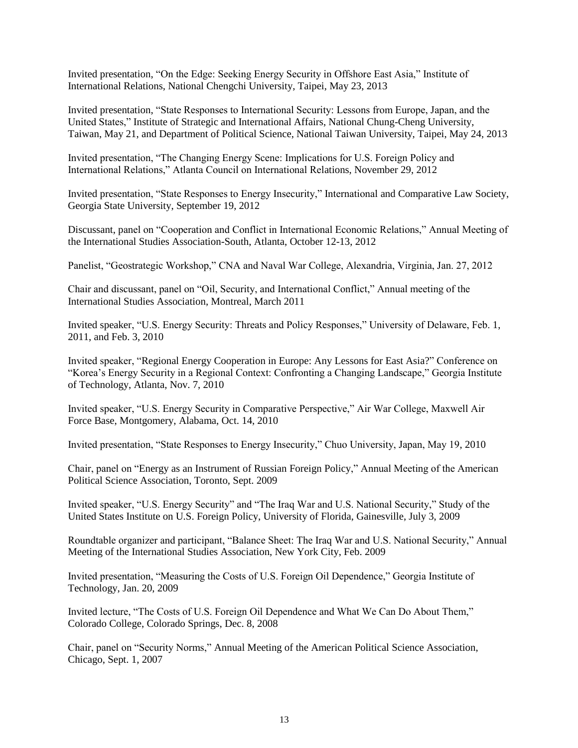Invited presentation, "On the Edge: Seeking Energy Security in Offshore East Asia," Institute of International Relations, National Chengchi University, Taipei, May 23, 2013

Invited presentation, "State Responses to International Security: Lessons from Europe, Japan, and the United States," Institute of Strategic and International Affairs, National Chung-Cheng University, Taiwan, May 21, and Department of Political Science, National Taiwan University, Taipei, May 24, 2013

Invited presentation, "The Changing Energy Scene: Implications for U.S. Foreign Policy and International Relations," Atlanta Council on International Relations, November 29, 2012

Invited presentation, "State Responses to Energy Insecurity," International and Comparative Law Society, Georgia State University, September 19, 2012

Discussant, panel on "Cooperation and Conflict in International Economic Relations," Annual Meeting of the International Studies Association-South, Atlanta, October 12-13, 2012

Panelist, "Geostrategic Workshop," CNA and Naval War College, Alexandria, Virginia, Jan. 27, 2012

Chair and discussant, panel on "Oil, Security, and International Conflict," Annual meeting of the International Studies Association, Montreal, March 2011

Invited speaker, "U.S. Energy Security: Threats and Policy Responses," University of Delaware, Feb. 1, 2011, and Feb. 3, 2010

Invited speaker, "Regional Energy Cooperation in Europe: Any Lessons for East Asia?" Conference on "Korea's Energy Security in a Regional Context: Confronting a Changing Landscape," Georgia Institute of Technology, Atlanta, Nov. 7, 2010

Invited speaker, "U.S. Energy Security in Comparative Perspective," Air War College, Maxwell Air Force Base, Montgomery, Alabama, Oct. 14, 2010

Invited presentation, "State Responses to Energy Insecurity," Chuo University, Japan, May 19, 2010

Chair, panel on "Energy as an Instrument of Russian Foreign Policy," Annual Meeting of the American Political Science Association, Toronto, Sept. 2009

Invited speaker, "U.S. Energy Security" and "The Iraq War and U.S. National Security," Study of the United States Institute on U.S. Foreign Policy, University of Florida, Gainesville, July 3, 2009

Roundtable organizer and participant, "Balance Sheet: The Iraq War and U.S. National Security," Annual Meeting of the International Studies Association, New York City, Feb. 2009

Invited presentation, "Measuring the Costs of U.S. Foreign Oil Dependence," Georgia Institute of Technology, Jan. 20, 2009

Invited lecture, "The Costs of U.S. Foreign Oil Dependence and What We Can Do About Them," Colorado College, Colorado Springs, Dec. 8, 2008

Chair, panel on "Security Norms," Annual Meeting of the American Political Science Association, Chicago, Sept. 1, 2007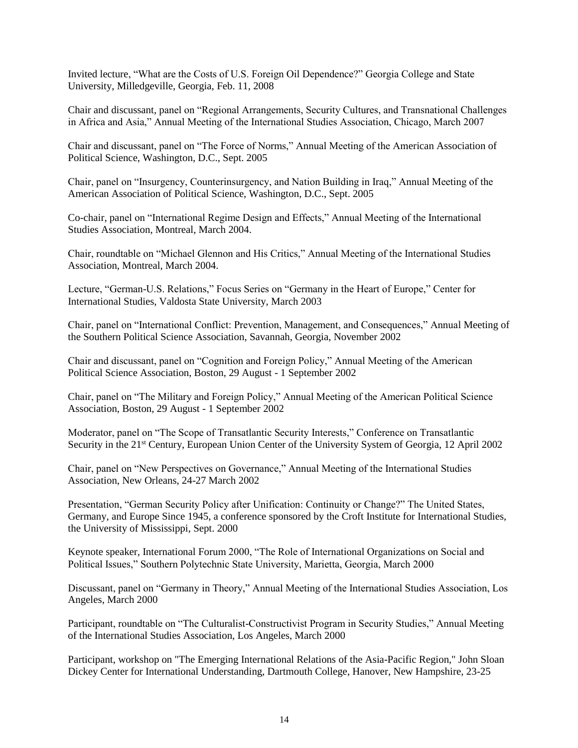Invited lecture, "What are the Costs of U.S. Foreign Oil Dependence?" Georgia College and State University, Milledgeville, Georgia, Feb. 11, 2008

Chair and discussant, panel on "Regional Arrangements, Security Cultures, and Transnational Challenges in Africa and Asia," Annual Meeting of the International Studies Association, Chicago, March 2007

Chair and discussant, panel on "The Force of Norms," Annual Meeting of the American Association of Political Science, Washington, D.C., Sept. 2005

Chair, panel on "Insurgency, Counterinsurgency, and Nation Building in Iraq," Annual Meeting of the American Association of Political Science, Washington, D.C., Sept. 2005

Co-chair, panel on "International Regime Design and Effects," Annual Meeting of the International Studies Association, Montreal, March 2004.

Chair, roundtable on "Michael Glennon and His Critics," Annual Meeting of the International Studies Association, Montreal, March 2004.

Lecture, "German-U.S. Relations," Focus Series on "Germany in the Heart of Europe," Center for International Studies, Valdosta State University, March 2003

Chair, panel on "International Conflict: Prevention, Management, and Consequences," Annual Meeting of the Southern Political Science Association, Savannah, Georgia, November 2002

Chair and discussant, panel on "Cognition and Foreign Policy," Annual Meeting of the American Political Science Association, Boston, 29 August - 1 September 2002

Chair, panel on "The Military and Foreign Policy," Annual Meeting of the American Political Science Association, Boston, 29 August - 1 September 2002

Moderator, panel on "The Scope of Transatlantic Security Interests," Conference on Transatlantic Security in the 21<sup>st</sup> Century, European Union Center of the University System of Georgia, 12 April 2002

Chair, panel on "New Perspectives on Governance," Annual Meeting of the International Studies Association, New Orleans, 24-27 March 2002

Presentation, "German Security Policy after Unification: Continuity or Change?" The United States, Germany, and Europe Since 1945, a conference sponsored by the Croft Institute for International Studies, the University of Mississippi, Sept. 2000

Keynote speaker, International Forum 2000, "The Role of International Organizations on Social and Political Issues," Southern Polytechnic State University, Marietta, Georgia, March 2000

Discussant, panel on "Germany in Theory," Annual Meeting of the International Studies Association, Los Angeles, March 2000

Participant, roundtable on "The Culturalist-Constructivist Program in Security Studies," Annual Meeting of the International Studies Association, Los Angeles, March 2000

Participant, workshop on "The Emerging International Relations of the Asia-Pacific Region," John Sloan Dickey Center for International Understanding, Dartmouth College, Hanover, New Hampshire, 23-25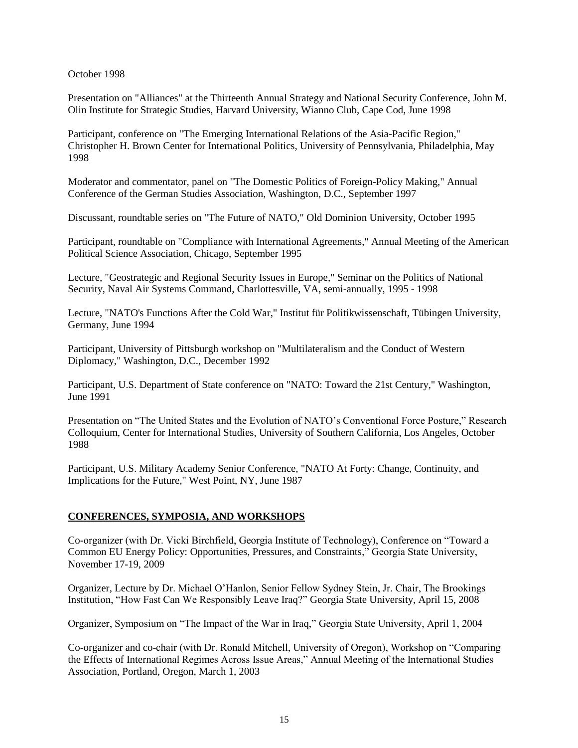October 1998

Presentation on "Alliances" at the Thirteenth Annual Strategy and National Security Conference, John M. Olin Institute for Strategic Studies, Harvard University, Wianno Club, Cape Cod, June 1998

Participant, conference on "The Emerging International Relations of the Asia-Pacific Region," Christopher H. Brown Center for International Politics, University of Pennsylvania, Philadelphia, May 1998

Moderator and commentator, panel on "The Domestic Politics of Foreign-Policy Making," Annual Conference of the German Studies Association, Washington, D.C., September 1997

Discussant, roundtable series on "The Future of NATO," Old Dominion University, October 1995

Participant, roundtable on "Compliance with International Agreements," Annual Meeting of the American Political Science Association, Chicago, September 1995

Lecture, "Geostrategic and Regional Security Issues in Europe," Seminar on the Politics of National Security, Naval Air Systems Command, Charlottesville, VA, semi-annually, 1995 - 1998

Lecture, "NATO's Functions After the Cold War," Institut für Politikwissenschaft, Tübingen University, Germany, June 1994

Participant, University of Pittsburgh workshop on "Multilateralism and the Conduct of Western Diplomacy," Washington, D.C., December 1992

Participant, U.S. Department of State conference on "NATO: Toward the 21st Century," Washington, June 1991

Presentation on "The United States and the Evolution of NATO's Conventional Force Posture," Research Colloquium, Center for International Studies, University of Southern California, Los Angeles, October 1988

Participant, U.S. Military Academy Senior Conference, "NATO At Forty: Change, Continuity, and Implications for the Future," West Point, NY, June 1987

## **CONFERENCES, SYMPOSIA, AND WORKSHOPS**

Co-organizer (with Dr. Vicki Birchfield, Georgia Institute of Technology), Conference on "Toward a Common EU Energy Policy: Opportunities, Pressures, and Constraints," Georgia State University, November 17-19, 2009

Organizer, Lecture by Dr. Michael O'Hanlon, Senior Fellow Sydney Stein, Jr. Chair, The Brookings Institution, "How Fast Can We Responsibly Leave Iraq?" Georgia State University, April 15, 2008

Organizer, Symposium on "The Impact of the War in Iraq," Georgia State University, April 1, 2004

Co-organizer and co-chair (with Dr. Ronald Mitchell, University of Oregon), Workshop on "Comparing the Effects of International Regimes Across Issue Areas," Annual Meeting of the International Studies Association, Portland, Oregon, March 1, 2003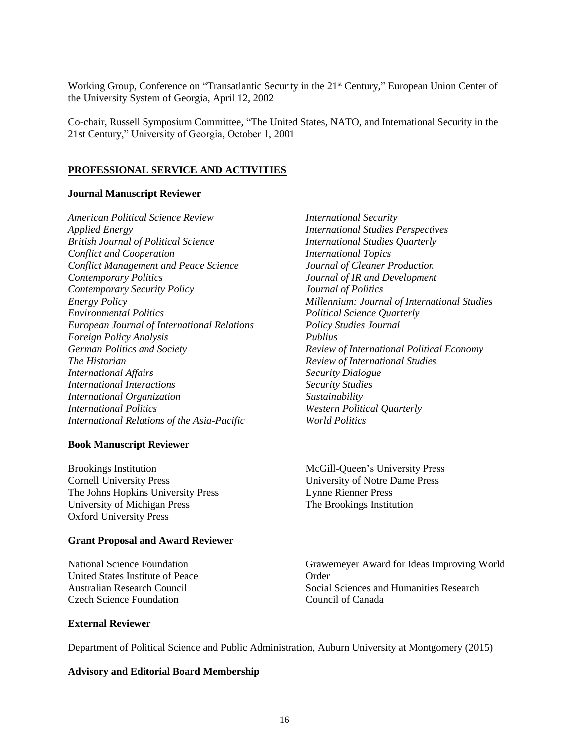Working Group, Conference on "Transatlantic Security in the 21<sup>st</sup> Century," European Union Center of the University System of Georgia, April 12, 2002

Co-chair, Russell Symposium Committee, "The United States, NATO, and International Security in the 21st Century," University of Georgia, October 1, 2001

#### **PROFESSIONAL SERVICE AND ACTIVITIES**

#### **Journal Manuscript Reviewer**

*American Political Science Review Applied Energy British Journal of Political Science Conflict and Cooperation Conflict Management and Peace Science Contemporary Politics Contemporary Security Policy Energy Policy Environmental Politics European Journal of International Relations Foreign Policy Analysis German Politics and Society The Historian International Affairs International Interactions International Organization International Politics International Relations of the Asia-Pacific*

#### **Book Manuscript Reviewer**

Brookings Institution Cornell University Press The Johns Hopkins University Press University of Michigan Press Oxford University Press

## **Grant Proposal and Award Reviewer**

National Science Foundation United States Institute of Peace Australian Research Council Czech Science Foundation

*International Security International Studies Perspectives International Studies Quarterly International Topics Journal of Cleaner Production Journal of IR and Development Journal of Politics Millennium: Journal of International Studies Political Science Quarterly Policy Studies Journal Publius Review of International Political Economy Review of International Studies Security Dialogue Security Studies Sustainability Western Political Quarterly World Politics*

McGill-Queen's University Press University of Notre Dame Press Lynne Rienner Press The Brookings Institution

Grawemeyer Award for Ideas Improving World Order Social Sciences and Humanities Research Council of Canada

### **External Reviewer**

Department of Political Science and Public Administration, Auburn University at Montgomery (2015)

#### **Advisory and Editorial Board Membership**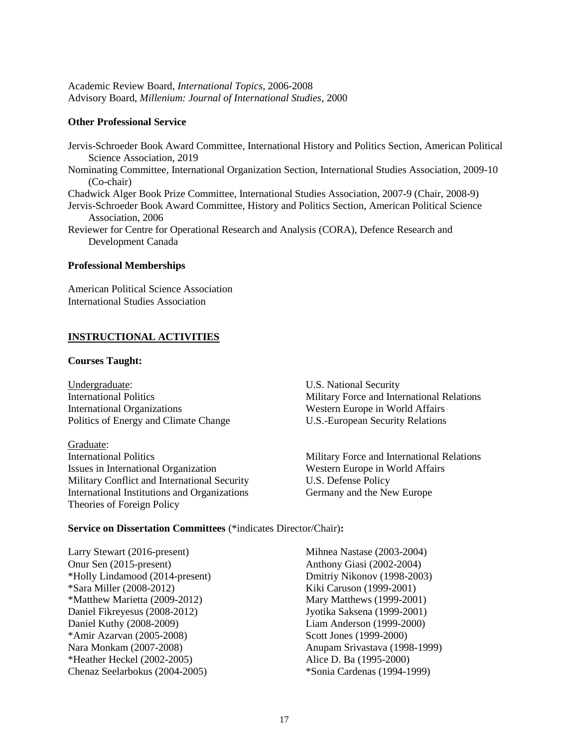Academic Review Board, *International Topics*, 2006-2008 Advisory Board, *Millenium: Journal of International Studies*, 2000

### **Other Professional Service**

Jervis-Schroeder Book Award Committee, International History and Politics Section, American Political Science Association, 2019 Nominating Committee, International Organization Section, International Studies Association, 2009-10 (Co-chair) Chadwick Alger Book Prize Committee, International Studies Association, 2007-9 (Chair, 2008-9) Jervis-Schroeder Book Award Committee, History and Politics Section, American Political Science Association, 2006 Reviewer for Centre for Operational Research and Analysis (CORA), Defence Research and Development Canada

### **Professional Memberships**

American Political Science Association International Studies Association

## **INSTRUCTIONAL ACTIVITIES**

### **Courses Taught:**

Undergraduate: International Politics International Organizations Politics of Energy and Climate Change

Graduate: International Politics Issues in International Organization Military Conflict and International Security International Institutions and Organizations Theories of Foreign Policy

U.S. National Security Military Force and International Relations Western Europe in World Affairs U.S.-European Security Relations

Military Force and International Relations Western Europe in World Affairs U.S. Defense Policy Germany and the New Europe

### **Service on Dissertation Committees** (\*indicates Director/Chair)**:**

Larry Stewart (2016-present) Onur Sen (2015-present) \*Holly Lindamood (2014-present) \*Sara Miller (2008-2012) \*Matthew Marietta (2009-2012) Daniel Fikreyesus (2008-2012) Daniel Kuthy (2008-2009) \*Amir Azarvan (2005-2008) Nara Monkam (2007-2008) \*Heather Heckel (2002-2005) Chenaz Seelarbokus (2004-2005)

Mihnea Nastase (2003-2004) Anthony Giasi (2002-2004) Dmitriy Nikonov (1998-2003) Kiki Caruson (1999-2001) Mary Matthews (1999-2001) Jyotika Saksena (1999-2001) Liam Anderson (1999-2000) Scott Jones (1999-2000) Anupam Srivastava (1998-1999) Alice D. Ba (1995-2000) \*Sonia Cardenas (1994-1999)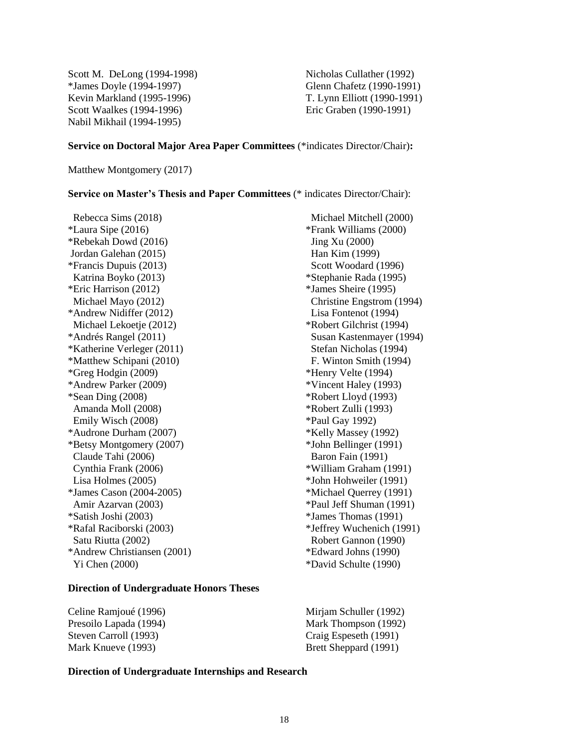Scott M. DeLong (1994-1998) \*James Doyle (1994-1997) Kevin Markland (1995-1996) Scott Waalkes (1994-1996) Nabil Mikhail (1994-1995)

Nicholas Cullather (1992) Glenn Chafetz (1990-1991) T. Lynn Elliott (1990-1991) Eric Graben (1990-1991)

#### **Service on Doctoral Major Area Paper Committees** (\*indicates Director/Chair)**:**

Matthew Montgomery (2017)

#### **Service on Master's Thesis and Paper Committees** (\* indicates Director/Chair):

 Rebecca Sims (2018) \*Laura Sipe (2016) \*Rebekah Dowd (2016) Jordan Galehan (2015) \*Francis Dupuis (2013) Katrina Boyko (2013) \*Eric Harrison (2012) Michael Mayo (2012) \*Andrew Nidiffer (2012) Michael Lekoetje (2012) \*Andrés Rangel (2011) \*Katherine Verleger (2011) \*Matthew Schipani (2010) \*Greg Hodgin (2009) \*Andrew Parker (2009) \*Sean Ding (2008) Amanda Moll (2008) Emily Wisch (2008) \*Audrone Durham (2007) \*Betsy Montgomery (2007) Claude Tahi (2006) Cynthia Frank (2006) Lisa Holmes (2005) \*James Cason (2004-2005) Amir Azarvan (2003) \*Satish Joshi (2003) \*Rafal Raciborski (2003) Satu Riutta (2002) \*Andrew Christiansen (2001) Yi Chen (2000)

#### **Direction of Undergraduate Honors Theses**

Celine Ramjoué (1996) Presoilo Lapada (1994) Steven Carroll (1993) Mark Knueve (1993)

Michael Mitchell (2000) \*Frank Williams (2000) Jing Xu (2000) Han Kim (1999) Scott Woodard (1996) \*Stephanie Rada (1995) \*James Sheire (1995) Christine Engstrom (1994) Lisa Fontenot (1994) \*Robert Gilchrist (1994) Susan Kastenmayer (1994) Stefan Nicholas (1994) F. Winton Smith (1994) \*Henry Velte (1994) \*Vincent Haley (1993) \*Robert Lloyd (1993) \*Robert Zulli (1993) \*Paul Gay 1992) \*Kelly Massey (1992) \*John Bellinger (1991) Baron Fain (1991) \*William Graham (1991) \*John Hohweiler (1991) \*Michael Querrey (1991) \*Paul Jeff Shuman (1991) \*James Thomas (1991) \*Jeffrey Wuchenich (1991) Robert Gannon (1990) \*Edward Johns (1990)

\*David Schulte (1990)

Mirjam Schuller (1992) Mark Thompson (1992) Craig Espeseth (1991) Brett Sheppard (1991)

### **Direction of Undergraduate Internships and Research**